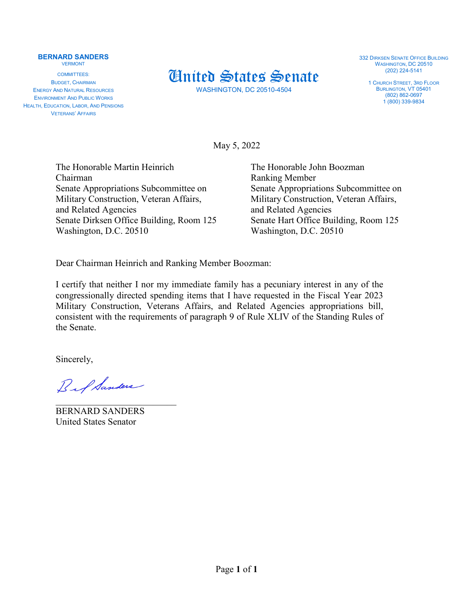## **BERNARD SANDERS** VERMONT

COMMITTEES: BUDGET, CHAIRMAN ENERGY AND NATURAL RESOURCES ENVIRONMENT AND PUBLIC WORKS HEALTH, EDUCATION, LABOR, AND PENSIONS VETERANS' AFFAIRS



WASHINGTON, DC 20510-4504

332 DIRKSEN SENATE OFFICE BUILDING WASHINGTON, DC 20510 (202) 224-5141

1 CHURCH STREET, 3RD FLOOR BURLINGTON, VT 05401 (802) 862-0697 1 (800) 339-9834

May 5, 2022

The Honorable Martin Heinrich The Honorable John Boozman Chairman Ranking Member Senate Appropriations Subcommittee on Senate Appropriations Subcommittee on Military Construction, Veteran Affairs, Military Construction, Veteran Affairs, and Related Agencies and Related Agencies Senate Dirksen Office Building, Room 125 Senate Hart Office Building, Room 125 Washington, D.C. 20510 Washington, D.C. 20510

Dear Chairman Heinrich and Ranking Member Boozman:

I certify that neither I nor my immediate family has a pecuniary interest in any of the congressionally directed spending items that I have requested in the Fiscal Year 2023 Military Construction, Veterans Affairs, and Related Agencies appropriations bill, consistent with the requirements of paragraph 9 of Rule XLIV of the Standing Rules of the Senate.

Sincerely,

Bif Sanders

\_\_\_\_\_\_\_\_\_\_\_\_\_\_\_\_\_\_\_\_\_\_\_\_\_\_ BERNARD SANDERS United States Senator